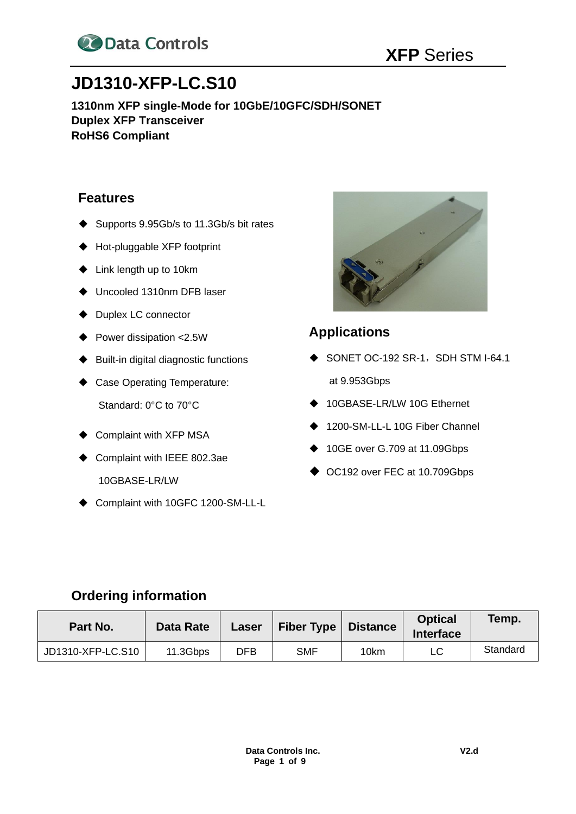

# **JD1310-XFP-LC.S10**

**1310nm XFP single-Mode for 10GbE/10GFC/SDH/SONET Duplex XFP Transceiver RoHS6 Compliant**

### **Features**

- ◆ Supports 9.95Gb/s to 11.3Gb/s bit rates
- ◆ Hot-pluggable XFP footprint
- ◆ Link length up to 10km
- ◆ Uncooled 1310nm DFB laser
- ◆ Duplex LC connector
- ◆ Power dissipation <2.5W
- ◆ Built-in digital diagnostic functions
- ◆ Case Operating Temperature: Standard: 0°C to 70°C
- ◆ Complaint with XFP MSA
- ◆ Complaint with IEEE 802.3ae 10GBASE-LR/LW
- ◆ Complaint with 10GFC 1200-SM-LL-L



# **Applications**

- $\blacklozenge$  SONET OC-192 SR-1, SDH STM I-64.1 at 9.953Gbps
- ◆ 10GBASE-LR/LW 10G Ethernet
- 1200-SM-LL-L 10G Fiber Channel
- ◆ 10GE over G.709 at 11.09Gbps
- ◆ OC192 over FEC at 10.709Gbps

### **Ordering information**

| Part No.          | Data Rate | Laser | <b>Fiber Type</b> | <b>Distance</b> | <b>Optical</b><br><b>Interface</b> | Temp.    |
|-------------------|-----------|-------|-------------------|-----------------|------------------------------------|----------|
| JD1310-XFP-LC.S10 | 11.3Gbps  | DFB   | <b>SMF</b>        | 10km            | LC                                 | Standard |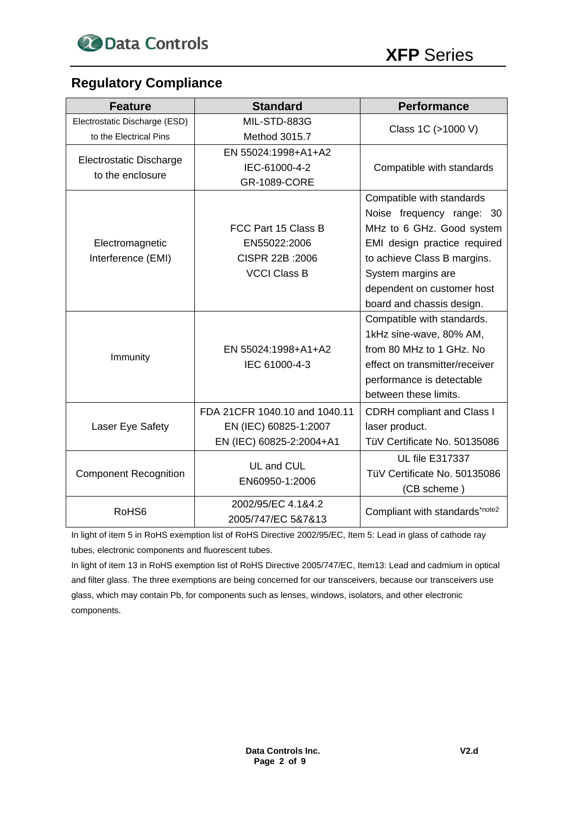

# **Regulatory Compliance**

| <b>Feature</b>                 | <b>Standard</b>               | <b>Performance</b>                |  |  |
|--------------------------------|-------------------------------|-----------------------------------|--|--|
| Electrostatic Discharge (ESD)  | MIL-STD-883G                  |                                   |  |  |
| to the Electrical Pins         | Method 3015.7                 | Class 1C (>1000 V)                |  |  |
| <b>Electrostatic Discharge</b> | EN 55024:1998+A1+A2           |                                   |  |  |
| to the enclosure               | IEC-61000-4-2                 | Compatible with standards         |  |  |
|                                | <b>GR-1089-CORE</b>           |                                   |  |  |
|                                |                               | Compatible with standards         |  |  |
|                                |                               | Noise frequency range: 30         |  |  |
|                                | FCC Part 15 Class B           | MHz to 6 GHz. Good system         |  |  |
| Electromagnetic                | EN55022:2006                  | EMI design practice required      |  |  |
| Interference (EMI)             | CISPR 22B : 2006              | to achieve Class B margins.       |  |  |
|                                | <b>VCCI Class B</b>           | System margins are                |  |  |
|                                |                               | dependent on customer host        |  |  |
|                                |                               | board and chassis design.         |  |  |
|                                |                               | Compatible with standards.        |  |  |
|                                |                               | 1kHz sine-wave, 80% AM,           |  |  |
| Immunity                       | EN 55024:1998+A1+A2           | from 80 MHz to 1 GHz. No          |  |  |
|                                | IEC 61000-4-3                 | effect on transmitter/receiver    |  |  |
|                                |                               | performance is detectable         |  |  |
|                                |                               | between these limits.             |  |  |
|                                | FDA 21CFR 1040.10 and 1040.11 | <b>CDRH</b> compliant and Class I |  |  |
| Laser Eye Safety               | EN (IEC) 60825-1:2007         | laser product.                    |  |  |
|                                | EN (IEC) 60825-2:2004+A1      | TüV Certificate No. 50135086      |  |  |
|                                | UL and CUL                    | <b>UL file E317337</b>            |  |  |
| <b>Component Recognition</b>   | EN60950-1:2006                | TüV Certificate No. 50135086      |  |  |
|                                |                               | (CB scheme)                       |  |  |
| RoHS <sub>6</sub>              | 2002/95/EC 4.1&4.2            | Compliant with standards*note2    |  |  |
|                                | 2005/747/EC 5&7&13            |                                   |  |  |

In light of item 5 in RoHS exemption list of RoHS Directive 2002/95/EC, Item 5: Lead in glass of cathode ray tubes, electronic components and fluorescent tubes.

In light of item 13 in RoHS exemption list of RoHS Directive 2005/747/EC, Item13: Lead and cadmium in optical and filter glass. The three exemptions are being concerned for our transceivers, because our transceivers use glass, which may contain Pb, for components such as lenses, windows, isolators, and other electronic components.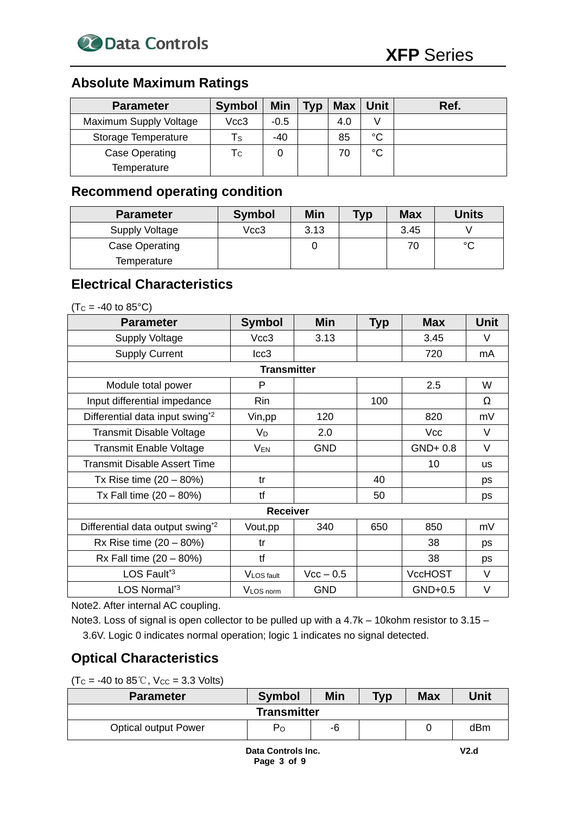

# **Absolute Maximum Ratings**

| <b>Parameter</b>       | <b>Symbol</b> | Min    | <b>Typ</b> | <b>Max</b> | Unit        | Ref. |
|------------------------|---------------|--------|------------|------------|-------------|------|
| Maximum Supply Voltage | Vcc3          | $-0.5$ |            | 4.0        |             |      |
| Storage Temperature    | Τs            | -40    |            | 85         | $^{\circ}C$ |      |
| Case Operating         | Tс            |        |            | 70         | $^{\circ}C$ |      |
| Temperature            |               |        |            |            |             |      |

### **Recommend operating condition**

| <b>Parameter</b> | <b>Symbol</b> | Min  | <b>Typ</b> | <b>Max</b> | <b>Units</b> |
|------------------|---------------|------|------------|------------|--------------|
| Supply Voltage   | Vcc3          | 3.13 |            | 3.45       |              |
| Case Operating   |               |      |            | 70         | $\sim$       |
| Temperature      |               |      |            |            |              |

### **Electrical Characteristics**

 $(Tc = -40 \text{ to } 85^{\circ}C)$ 

| <b>Parameter</b>                             | <b>Symbol</b>   | Min         | <b>Typ</b> | <b>Max</b>     | <b>Unit</b> |  |  |
|----------------------------------------------|-----------------|-------------|------------|----------------|-------------|--|--|
| <b>Supply Voltage</b>                        | Vcc3            | 3.13        |            | 3.45           | V           |  |  |
| <b>Supply Current</b>                        | lcc3            |             |            | 720            | mA          |  |  |
| <b>Transmitter</b>                           |                 |             |            |                |             |  |  |
| Module total power                           | P               |             |            | 2.5            | W           |  |  |
| Input differential impedance                 | Rin             |             | 100        |                | Ω           |  |  |
| Differential data input swing <sup>*2</sup>  | Vin, pp         | 120         |            | 820            | mV          |  |  |
| Transmit Disable Voltage                     | $V_D$           | 2.0         |            | <b>Vcc</b>     | $\vee$      |  |  |
| <b>Transmit Enable Voltage</b>               | VEN             | <b>GND</b>  |            | $GND+0.8$      | $\vee$      |  |  |
| Transmit Disable Assert Time                 |                 |             |            | 10             | <b>us</b>   |  |  |
| Tx Rise time $(20 - 80%)$                    | tr              |             | 40         |                | <b>DS</b>   |  |  |
| Tx Fall time $(20 - 80%)$                    | tf              |             | 50         |                | ps          |  |  |
|                                              | <b>Receiver</b> |             |            |                |             |  |  |
| Differential data output swing <sup>*2</sup> | Vout, pp        | 340         | 650        | 850            | mV          |  |  |
| Rx Rise time $(20 - 80%)$                    | tr              |             |            | 38             | ps          |  |  |
| $Rx$ Fall time $(20 - 80%)$                  | tf              |             |            | 38             | ps          |  |  |
| LOS Fault <sup>*3</sup>                      | VLOS fault      | $Vcc - 0.5$ |            | <b>VccHOST</b> | V           |  |  |
| LOS Normal <sup>*3</sup>                     | VLOS norm       | <b>GND</b>  |            | $GND+0.5$      | V           |  |  |

Note2. After internal AC coupling.

Note3. Loss of signal is open collector to be pulled up with a 4.7k – 10kohm resistor to 3.15 – 3.6V. Logic 0 indicates normal operation; logic 1 indicates no signal detected.

# **Optical Characteristics**

 $(Tc = -40$  to  $85^{\circ}$ C, Vcc = 3.3 Volts)

| <b>Parameter</b>            | <b>Symbol</b>      | Min | <b>Typ</b> | <b>Max</b> | Unit |
|-----------------------------|--------------------|-----|------------|------------|------|
|                             | <b>Transmitter</b> |     |            |            |      |
| <b>Optical output Power</b> | P <sub>O</sub>     | -6  |            |            | dBm  |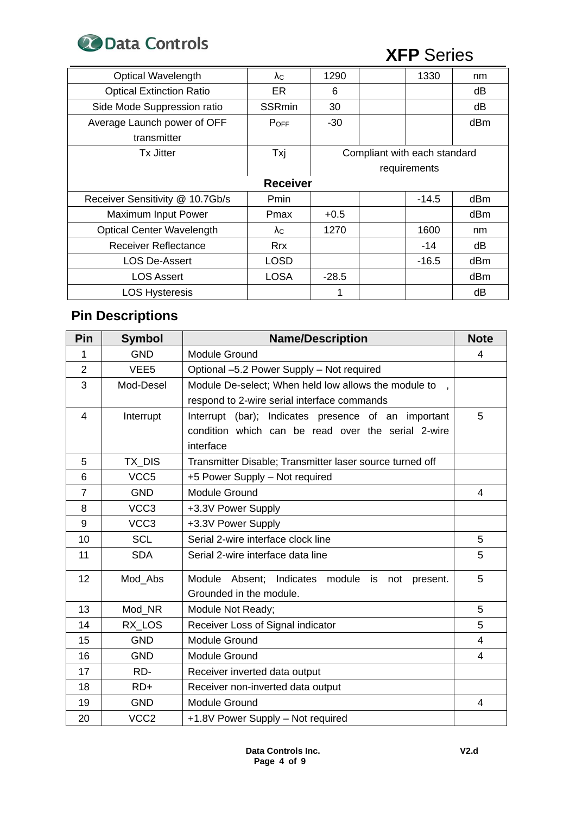

| <b>Optical Wavelength</b>                               | λc            | 1290    |  | 1330         | nm  |  |
|---------------------------------------------------------|---------------|---------|--|--------------|-----|--|
| <b>Optical Extinction Ratio</b>                         | ER.           | 6       |  |              | dВ  |  |
| Side Mode Suppression ratio                             | <b>SSRmin</b> | 30      |  |              | dВ  |  |
| Average Launch power of OFF                             | <b>POFF</b>   | -30     |  |              | dBm |  |
| transmitter                                             |               |         |  |              |     |  |
| Compliant with each standard<br>Txj<br><b>Tx Jitter</b> |               |         |  |              |     |  |
|                                                         |               |         |  | requirements |     |  |
| <b>Receiver</b>                                         |               |         |  |              |     |  |
| Receiver Sensitivity @ 10.7Gb/s                         | Pmin          |         |  | $-14.5$      | dBm |  |
| Maximum Input Power                                     | Pmax          | $+0.5$  |  |              | dBm |  |
| <b>Optical Center Wavelength</b>                        | $\lambda c$   | 1270    |  | 1600         | nm  |  |
| <b>Receiver Reflectance</b>                             | <b>Rrx</b>    |         |  | $-14$        | dB  |  |
| <b>LOS De-Assert</b>                                    | <b>LOSD</b>   |         |  | $-16.5$      | dBm |  |
| <b>LOS Assert</b>                                       | <b>LOSA</b>   | $-28.5$ |  |              | dBm |  |
| <b>LOS Hysteresis</b>                                   |               | 1       |  |              | dB  |  |

# **Pin Descriptions**

| Pin            | <b>Symbol</b>    | <b>Name/Description</b>                                     | <b>Note</b>    |
|----------------|------------------|-------------------------------------------------------------|----------------|
| 1              | <b>GND</b>       | Module Ground                                               | 4              |
| $\overline{2}$ | VEE <sub>5</sub> | Optional -5.2 Power Supply - Not required                   |                |
| 3              | Mod-Desel        | Module De-select; When held low allows the module to        |                |
|                |                  | respond to 2-wire serial interface commands                 |                |
| $\overline{4}$ | Interrupt        | Interrupt (bar); Indicates presence of an important         | 5              |
|                |                  | condition which can be read over the serial 2-wire          |                |
|                |                  | interface                                                   |                |
| 5              | TX DIS           | Transmitter Disable; Transmitter laser source turned off    |                |
| 6              | VCC <sub>5</sub> | +5 Power Supply - Not required                              |                |
| $\overline{7}$ | <b>GND</b>       | Module Ground                                               | 4              |
| 8              | VCC <sub>3</sub> | +3.3V Power Supply                                          |                |
| 9              | VCC <sub>3</sub> | +3.3V Power Supply                                          |                |
| 10             | <b>SCL</b>       | Serial 2-wire interface clock line                          | 5              |
| 11             | <b>SDA</b>       | Serial 2-wire interface data line                           | 5              |
| 12             | Mod Abs          | module is<br>Module Absent;<br>Indicates<br>not<br>present. | 5              |
|                |                  | Grounded in the module.                                     |                |
| 13             | Mod NR           | Module Not Ready;                                           | 5              |
| 14             | RX LOS           | Receiver Loss of Signal indicator                           | 5              |
| 15             | <b>GND</b>       | Module Ground                                               | $\overline{4}$ |
| 16             | <b>GND</b>       | Module Ground                                               | 4              |
| 17             | RD-              | Receiver inverted data output                               |                |
| 18             | $RD+$            | Receiver non-inverted data output                           |                |
| 19             | <b>GND</b>       | <b>Module Ground</b>                                        | 4              |
| 20             | VCC <sub>2</sub> | +1.8V Power Supply - Not required                           |                |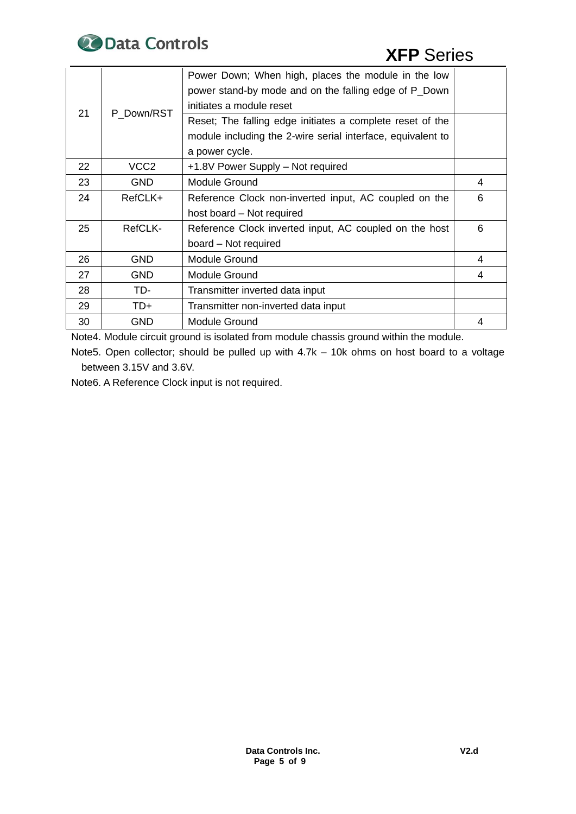

| 21<br>P Down/RST |                  | Power Down; When high, places the module in the low<br>power stand-by mode and on the falling edge of P_Down<br>initiates a module reset |   |
|------------------|------------------|------------------------------------------------------------------------------------------------------------------------------------------|---|
|                  |                  | Reset; The falling edge initiates a complete reset of the<br>module including the 2-wire serial interface, equivalent to                 |   |
|                  |                  | a power cycle.                                                                                                                           |   |
| 22               | VCC <sub>2</sub> | +1.8V Power Supply - Not required                                                                                                        |   |
| 23               | <b>GND</b>       | <b>Module Ground</b>                                                                                                                     | 4 |
| 24               | RefCLK+          | Reference Clock non-inverted input, AC coupled on the                                                                                    | 6 |
|                  |                  | host board - Not required                                                                                                                |   |
| 25               | RefCLK-          | Reference Clock inverted input, AC coupled on the host                                                                                   | 6 |
|                  |                  | board - Not required                                                                                                                     |   |
| 26               | <b>GND</b>       | Module Ground                                                                                                                            | 4 |
| 27               | <b>GND</b>       | Module Ground                                                                                                                            | 4 |
| 28               | TD-              | Transmitter inverted data input                                                                                                          |   |
| 29               | TD+              | Transmitter non-inverted data input                                                                                                      |   |
| 30               | <b>GND</b>       | <b>Module Ground</b>                                                                                                                     | 4 |

Note4. Module circuit ground is isolated from module chassis ground within the module.

Note5. Open collector; should be pulled up with 4.7k – 10k ohms on host board to a voltage between 3.15V and 3.6V.

Note6. A Reference Clock input is not required.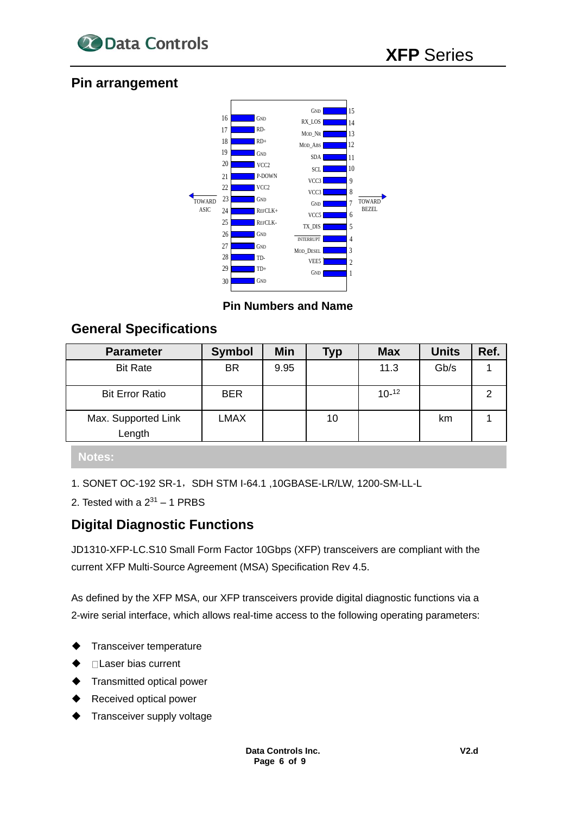

### **Pin arrangement**



**Pin Numbers and Name**

### **General Specifications**

| <b>Parameter</b>              | <b>Symbol</b> | Min  | Typ | <b>Max</b> | <b>Units</b> | Ref. |
|-------------------------------|---------------|------|-----|------------|--------------|------|
| <b>Bit Rate</b>               | <b>BR</b>     | 9.95 |     | 11.3       | Gb/s         |      |
| <b>Bit Error Ratio</b>        | <b>BER</b>    |      |     | $10-12$    |              | າ    |
| Max. Supported Link<br>Length | <b>LMAX</b>   |      | 10  |            | km           |      |
|                               |               |      |     |            |              |      |

### **Notes:**

1. SONET OC-192 SR-1,SDH STM I-64.1 ,10GBASE-LR/LW, 1200-SM-LL-L

2. Tested with a  $2^{31}$  – 1 PRBS

### **Digital Diagnostic Functions**

JD1310-XFP-LC.S10 Small Form Factor 10Gbps (XFP) transceivers are compliant with the current XFP Multi-Source Agreement (MSA) Specification Rev 4.5.

As defined by the XFP MSA, our XFP transceivers provide digital diagnostic functions via a 2-wire serial interface, which allows real-time access to the following operating parameters:

- ◆ Transceiver temperature
- □ Laser bias current
- **Transmitted optical power**
- Received optical power
- Transceiver supply voltage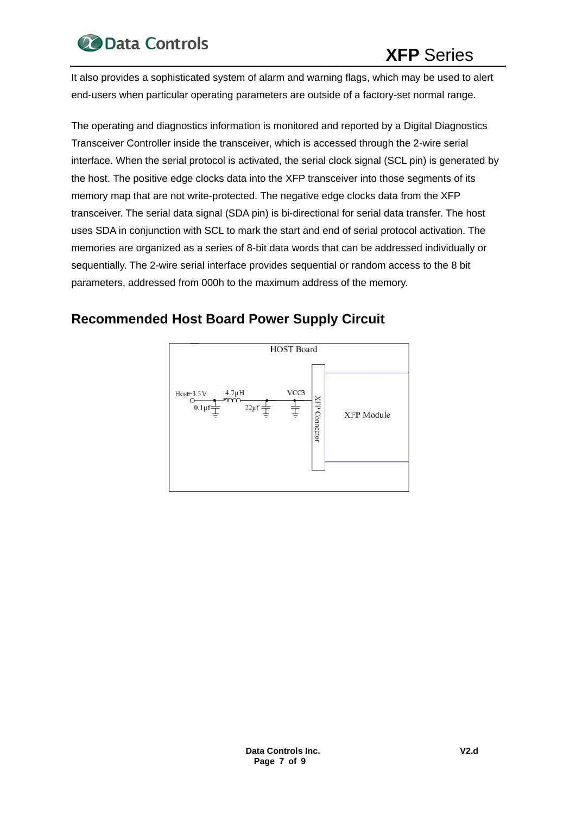

It also provides a sophisticated system of alarm and warning flags, which may be used to alert end-users when particular operating parameters are outside of a factory-set normal range.

The operating and diagnostics information is monitored and reported by a Digital Diagnostics Transceiver Controller inside the transceiver, which is accessed through the 2-wire serial interface. When the serial protocol is activated, the serial clock signal (SCL pin) is generated by the host. The positive edge clocks data into the XFP transceiver into those segments of its memory map that are not write-protected. The negative edge clocks data from the XFP transceiver. The serial data signal (SDA pin) is bi-directional for serial data transfer. The host uses SDA in conjunction with SCL to mark the start and end of serial protocol activation. The memories are organized as a series of 8-bit data words that can be addressed individually or sequentially. The 2-wire serial interface provides sequential or random access to the 8 bit parameters, addressed from 000h to the maximum address of the memory.

## **Recommended Host Board Power Supply Circuit**

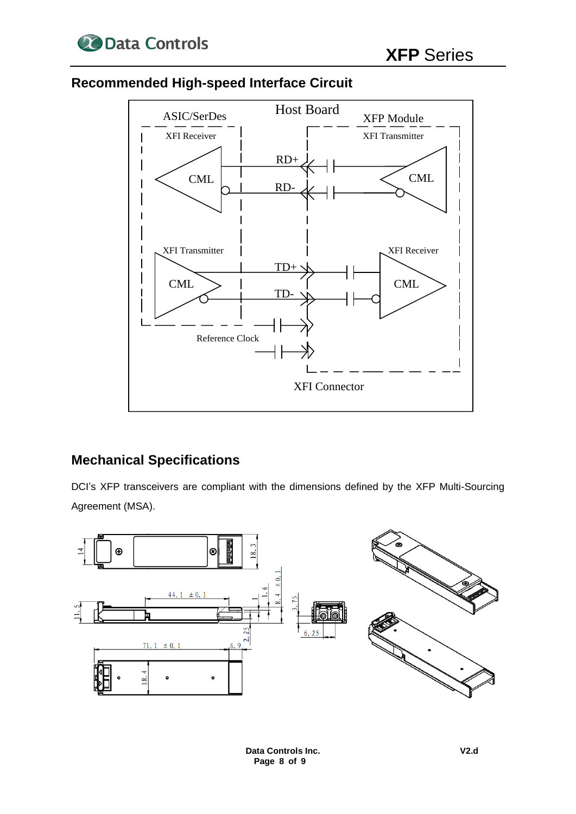

## **Recommended High-speed Interface Circuit**



### **Mechanical Specifications**

DCI's XFP transceivers are compliant with the dimensions defined by the XFP Multi-Sourcing Agreement (MSA).